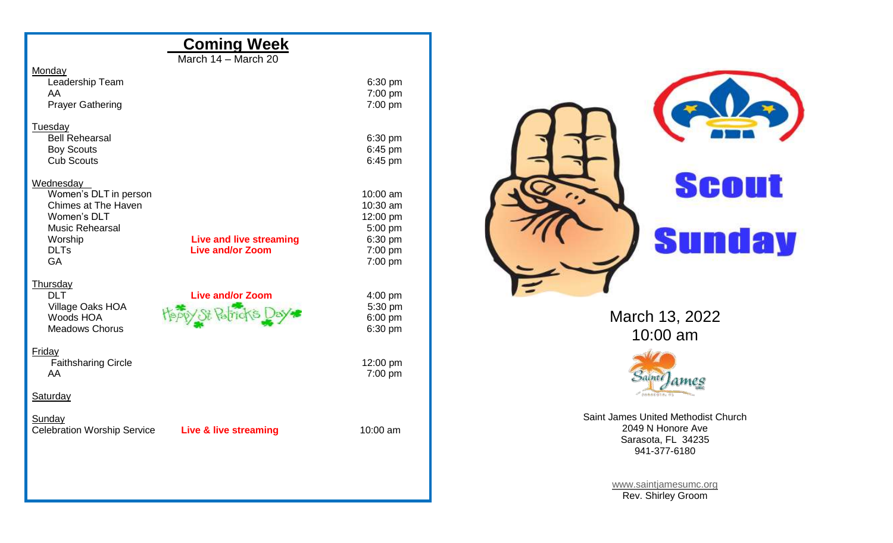| <b>Coming Week</b>                                                                  |                      |                                         |
|-------------------------------------------------------------------------------------|----------------------|-----------------------------------------|
| March 14 - March 20                                                                 |                      |                                         |
| Monday<br>Leadership Team                                                           | 6:30 pm              |                                         |
| AA<br><b>Prayer Gathering</b>                                                       | 7:00 pm<br>7:00 pm   |                                         |
| Tuesday                                                                             |                      |                                         |
| <b>Bell Rehearsal</b><br><b>Boy Scouts</b><br><b>Cub Scouts</b>                     | 6:30 pm<br>6:45 pm   |                                         |
| Wednesday                                                                           | 6:45 pm              |                                         |
| Women's DLT in person<br>Chimes at The Haven                                        | 10:00 am<br>10:30 am | <b>Scout</b>                            |
| Women's DLT<br><b>Music Rehearsal</b>                                               | 12:00 pm<br>5:00 pm  |                                         |
| Worship<br><b>Live and live streaming</b><br><b>DLTs</b><br><b>Live and/or Zoom</b> | 6:30 pm<br>7:00 pm   | <b>Sunday</b>                           |
| GA                                                                                  | 7:00 pm              |                                         |
| <b>Thursday</b><br><b>DLT</b><br><b>Live and/or Zoom</b>                            | $4:00$ pm            |                                         |
| Village Oaks HOA<br>Woods HOA                                                       | 5:30 pm<br>6:00 pm   | March 13, 2022                          |
| Meadows Chorus                                                                      | 6:30 pm              | 10:00 am                                |
| <b>Friday</b><br><b>Faithsharing Circle</b><br>AA                                   | 12:00 pm             |                                         |
| Saturday                                                                            | 7:00 pm              | Saint()<br>ames<br>$P$ SARAKOTA,        |
| Sunday                                                                              |                      | Saint James United Methodist Church     |
| <b>Celebration Worship Service</b><br><b>Live &amp; live streaming</b>              | 10:00 am             | 2049 N Honore Ave<br>Sarasota, FL 34235 |
|                                                                                     |                      | 941-377-6180                            |
|                                                                                     |                      | www.saintjamesumc.org                   |
|                                                                                     |                      | Rev. Shirley Groom                      |